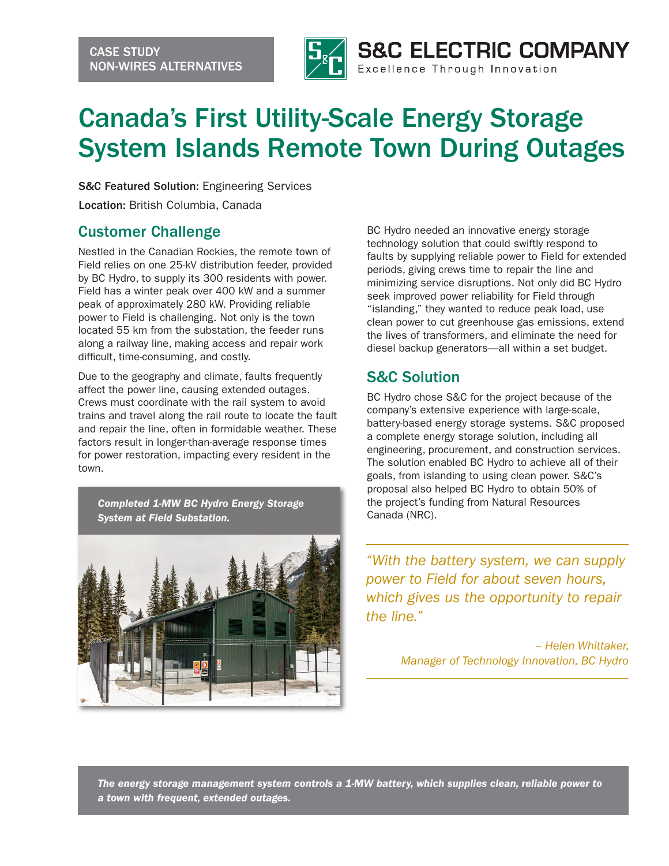

# Canada's First Utility-Scale Energy Storage System Islands Remote Town During Outages

S&C Featured Solution: Engineering Services Location: British Columbia, Canada

#### Customer Challenge

Nestled in the Canadian Rockies, the remote town of Field relies on one 25-kV distribution feeder, provided by BC Hydro, to supply its 300 residents with power. Field has a winter peak over 400 kW and a summer peak of approximately 280 kW. Providing reliable power to Field is challenging. Not only is the town located 55 km from the substation, the feeder runs along a railway line, making access and repair work difficult, time-consuming, and costly.

Due to the geography and climate, faults frequently affect the power line, causing extended outages. Crews must coordinate with the rail system to avoid trains and travel along the rail route to locate the fault and repair the line, often in formidable weather. These factors result in longer-than-average response times for power restoration, impacting every resident in the town.

*Completed 1-MW BC Hydro Energy Storage System at Field Substation.*



BC Hydro needed an innovative energy storage technology solution that could swiftly respond to faults by supplying reliable power to Field for extended periods, giving crews time to repair the line and minimizing service disruptions. Not only did BC Hydro seek improved power reliability for Field through "islanding," they wanted to reduce peak load, use clean power to cut greenhouse gas emissions, extend the lives of transformers, and eliminate the need for diesel backup generators—all within a set budget.

## S&C Solution

BC Hydro chose S&C for the project because of the company's extensive experience with large-scale, battery-based energy storage systems. S&C proposed a complete energy storage solution, including all engineering, procurement, and construction services. The solution enabled BC Hydro to achieve all of their goals, from islanding to using clean power. S&C's proposal also helped BC Hydro to obtain 50% of the project's funding from Natural Resources Canada (NRC).

*"With the battery system, we can supply power to Field for about seven hours, which gives us the opportunity to repair the line."*

> *– Helen Whittaker, Manager of Technology Innovation, BC Hydro*

*The energy storage management system controls a 1-MW battery, which supplies clean, reliable power to a town with frequent, extended outages.*